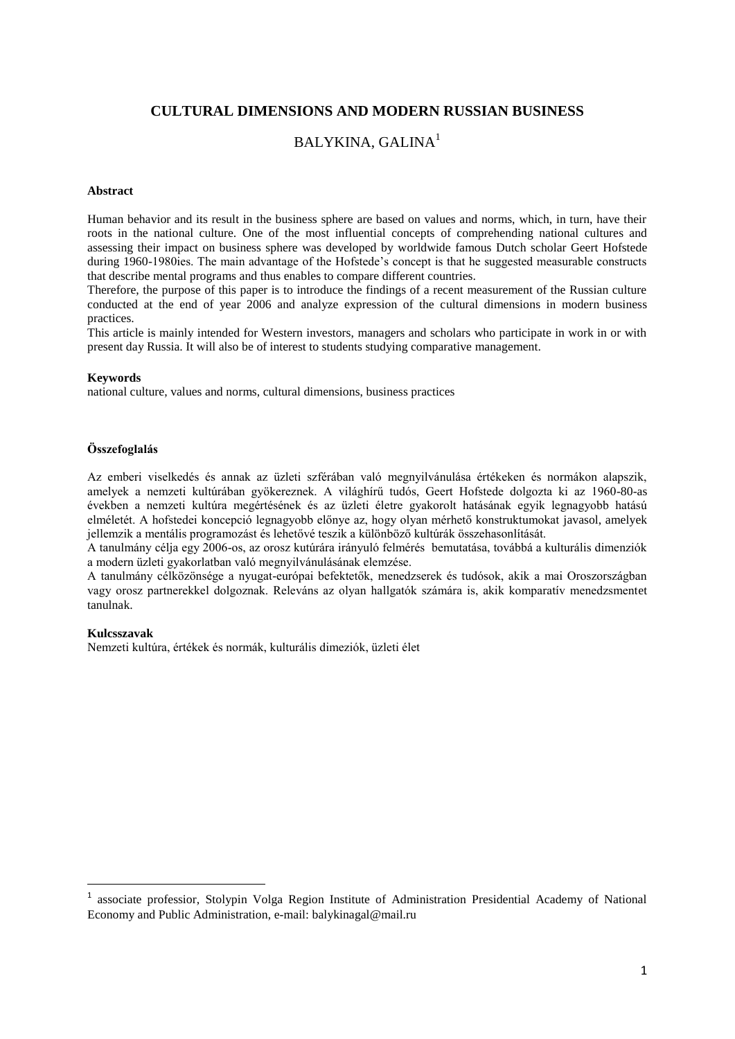## **CULTURAL DIMENSIONS AND MODERN RUSSIAN BUSINESS**

# BALYKINA, GALINA<sup>1</sup>

#### **Abstract**

Human behavior and its result in the business sphere are based on values and norms, which, in turn, have their roots in the national culture. One of the most influential concepts of comprehending national cultures and assessing their impact on business sphere was developed by worldwide famous Dutch scholar Geert Hofstede during 1960-1980ies. The main advantage of the Hofstede's concept is that he suggested measurable constructs that describe mental programs and thus enables to compare different countries.

Therefore, the purpose of this paper is to introduce the findings of a recent measurement of the Russian culture conducted at the end of year 2006 and analyze expression of the cultural dimensions in modern business practices.

This article is mainly intended for Western investors, managers and scholars who participate in work in or with present day Russia. It will also be of interest to students studying comparative management.

#### **Keywords**

national culture, values and norms, cultural dimensions, business practices

#### **Összefoglalás**

Az emberi viselkedés és annak az üzleti szférában való megnyilvánulása értékeken és normákon alapszik, amelyek a nemzeti kultúrában gyökereznek. A világhírű tudós, Geert Hofstede dolgozta ki az 1960-80-as években a nemzeti kultúra megértésének és az üzleti életre gyakorolt hatásának egyik legnagyobb hatású elméletét. A hofstedei koncepció legnagyobb előnye az, hogy olyan mérhető konstruktumokat javasol, amelyek jellemzik a mentális programozást és lehetővé teszik a különböző kultúrák összehasonlítását.

A tanulmány célja egy 2006-os, az orosz kutúrára irányuló felmérés bemutatása, továbbá a kulturális dimenziók a modern üzleti gyakorlatban való megnyilvánulásának elemzése.

A tanulmány célközönsége a nyugat-európai befektetők, menedzserek és tudósok, akik a mai Oroszországban vagy orosz partnerekkel dolgoznak. Releváns az olyan hallgatók számára is, akik komparatív menedzsmentet tanulnak.

#### **Kulcsszavak**

**.** 

Nemzeti kultúra, értékek és normák, kulturális dimeziók, üzleti élet

<sup>1</sup> associate professior, Stolypin Volga Region Institute of Administration Presidential Academy of National Economy and Public Administration, e-mail: balykinagal@mail.ru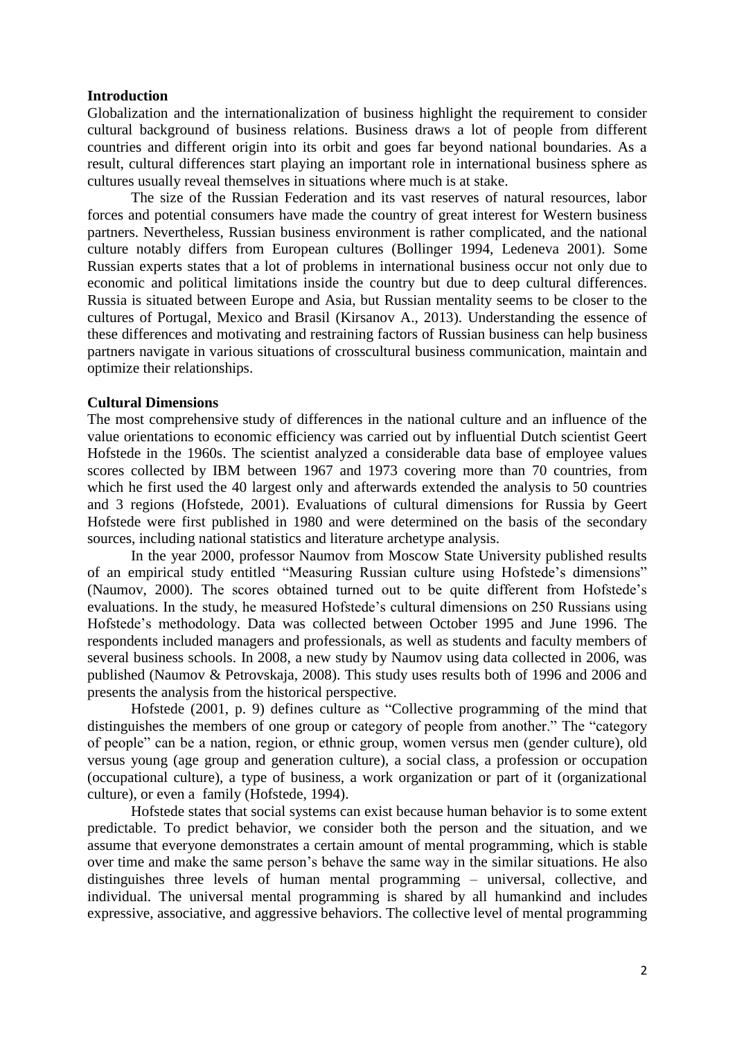### **Introduction**

Globalization and the internationalization of business highlight the requirement to consider cultural background of business relations. Business draws a lot of people from different countries and different origin into its orbit and goes far beyond national boundaries. As a result, cultural differences start playing an important role in international business sphere as cultures usually reveal themselves in situations where much is at stake.

The size of the Russian Federation and its vast reserves of natural resources, labor forces and potential consumers have made the country of great interest for Western business partners. Nevertheless, Russian business environment is rather complicated, and the national culture notably differs from European cultures (Bollinger 1994, Ledeneva 2001). Some Russian experts states that a lot of problems in international business occur not only due to economic and political limitations inside the country but due to deep cultural differences. Russia is situated between Europe and Asia, but Russian mentality seems to be closer to the cultures of Portugal, Mexico and Brasil (Kirsanov A., 2013). Understanding the essence of these differences and motivating and restraining factors of Russian business can help business partners navigate in various situations of crosscultural business communication, maintain and optimize their relationships.

## **Cultural Dimensions**

The most comprehensive study of differences in the national culture and an influence of the value orientations to economic efficiency was carried out by influential Dutch scientist Geert Hofstede in the 1960s. The scientist analyzed a considerable data base of employee values scores collected by IBM between 1967 and 1973 covering more than 70 countries, from which he first used the 40 largest only and afterwards extended the analysis to 50 countries and 3 regions (Hofstede, 2001). Evaluations of cultural dimensions for Russia by Geert Hofstede were first published in 1980 and were determined on the basis of the secondary sources, including national statistics and literature archetype analysis.

In the year 2000, professor Naumov from Moscow State University published results of an empirical study entitled "Measuring Russian culture using Hofstede's dimensions" (Naumov, 2000). The scores obtained turned out to be quite different from Hofstede's evaluations. In the study, he measured Hofstede's cultural dimensions on 250 Russians using Hofstede's methodology. Data was collected between October 1995 and June 1996. The respondents included managers and professionals, as well as students and faculty members of several business schools. In 2008, a new study by Naumov using data collected in 2006, was published (Naumov & Petrovskaja, 2008). This study uses results both of 1996 and 2006 and presents the analysis from the historical perspective.

Hofstede (2001, p. 9) defines culture as "Collective programming of the mind that distinguishes the members of one group or category of people from another." The "category of people" can be a nation, region, or ethnic group, women versus men (gender culture), old versus young (age group and generation culture), a social class, a profession or occupation (occupational culture), a type of business, a work organization or part of it (organizational culture), or even a family (Hofstede, 1994).

Hofstede states that social systems can exist because human behavior is to some extent predictable. To predict behavior, we consider both the person and the situation, and we assume that everyone demonstrates a certain amount of mental programming, which is stable over time and make the same person's behave the same way in the similar situations. He also distinguishes three levels of human mental programming – universal, collective, and individual. The universal mental programming is shared by all humankind and includes expressive, associative, and aggressive behaviors. The collective level of mental programming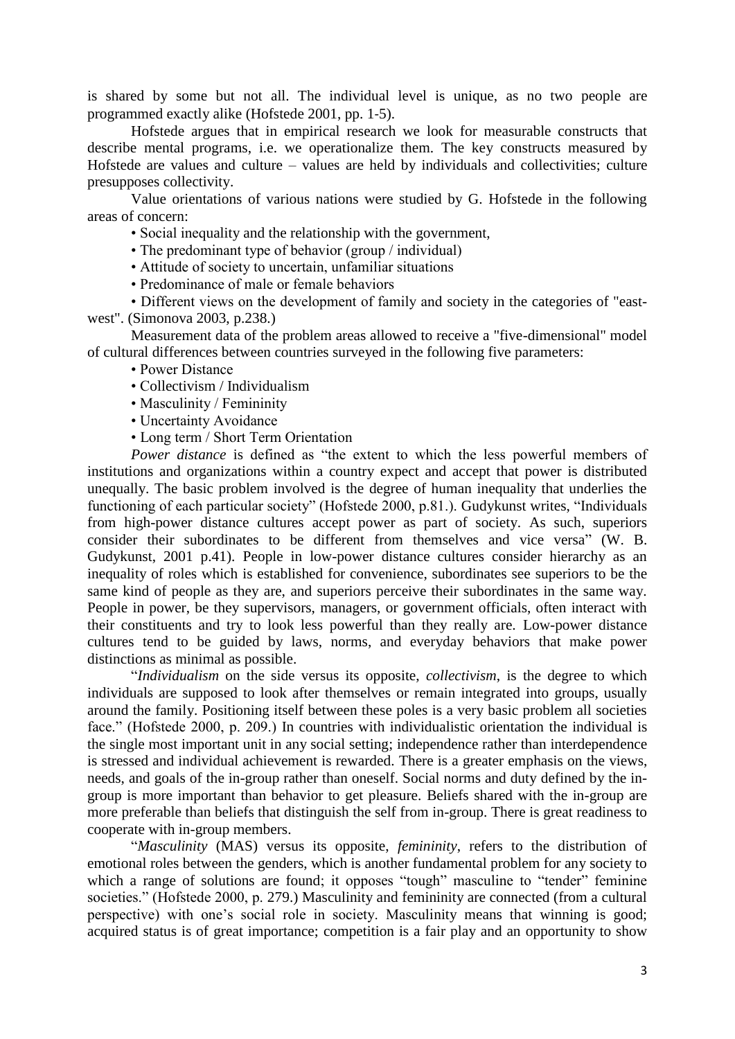is shared by some but not all. The individual level is unique, as no two people are programmed exactly alike (Hofstede 2001, pp. 1‐5).

Hofstede argues that in empirical research we look for measurable constructs that describe mental programs, i.e. we operationalize them. The key constructs measured by Hofstede are values and culture – values are held by individuals and collectivities; culture presupposes collectivity.

Value orientations of various nations were studied by G. Hofstede in the following areas of concern:

• Social inequality and the relationship with the government,

• The predominant type of behavior (group / individual)

• Attitude of society to uncertain, unfamiliar situations

• Predominance of male or female behaviors

• Different views on the development of family and society in the categories of "eastwest". (Simonova 2003, p.238.)

Measurement data of the problem areas allowed to receive a "five-dimensional" model of cultural differences between countries surveyed in the following five parameters:

• Power Distance

- Collectivism / Individualism
- Masculinity / Femininity
- Uncertainty Avoidance
- Long term / Short Term Orientation

*Power distance* is defined as "the extent to which the less powerful members of institutions and organizations within a country expect and accept that power is distributed unequally. The basic problem involved is the degree of human inequality that underlies the functioning of each particular society" (Hofstede 2000, p.81.). Gudykunst writes, "Individuals from high-power distance cultures accept power as part of society. As such, superiors consider their subordinates to be different from themselves and vice versa" (W. B. Gudykunst, 2001 p.41). People in low-power distance cultures consider hierarchy as an inequality of roles which is established for convenience, subordinates see superiors to be the same kind of people as they are, and superiors perceive their subordinates in the same way. People in power, be they supervisors, managers, or government officials, often interact with their constituents and try to look less powerful than they really are. Low-power distance cultures tend to be guided by laws, norms, and everyday behaviors that make power distinctions as minimal as possible.

"*Individualism* on the side versus its opposite, *collectivism*, is the degree to which individuals are supposed to look after themselves or remain integrated into groups, usually around the family. Positioning itself between these poles is a very basic problem all societies face." (Hofstede 2000, p. 209.) In countries with individualistic orientation the individual is the single most important unit in any social setting; independence rather than interdependence is stressed and individual achievement is rewarded. There is a greater emphasis on the views, needs, and goals of the in-group rather than oneself. Social norms and duty defined by the ingroup is more important than behavior to get pleasure. Beliefs shared with the in-group are more preferable than beliefs that distinguish the self from in-group. There is great readiness to cooperate with in-group members.

"*Masculinity* (MAS) versus its opposite, *femininity*, refers to the distribution of emotional roles between the genders, which is another fundamental problem for any society to which a range of solutions are found; it opposes "tough" masculine to "tender" feminine societies." (Hofstede 2000, p. 279.) Masculinity and femininity are connected (from a cultural perspective) with one's social role in society. Masculinity means that winning is good; acquired status is of great importance; competition is a fair play and an opportunity to show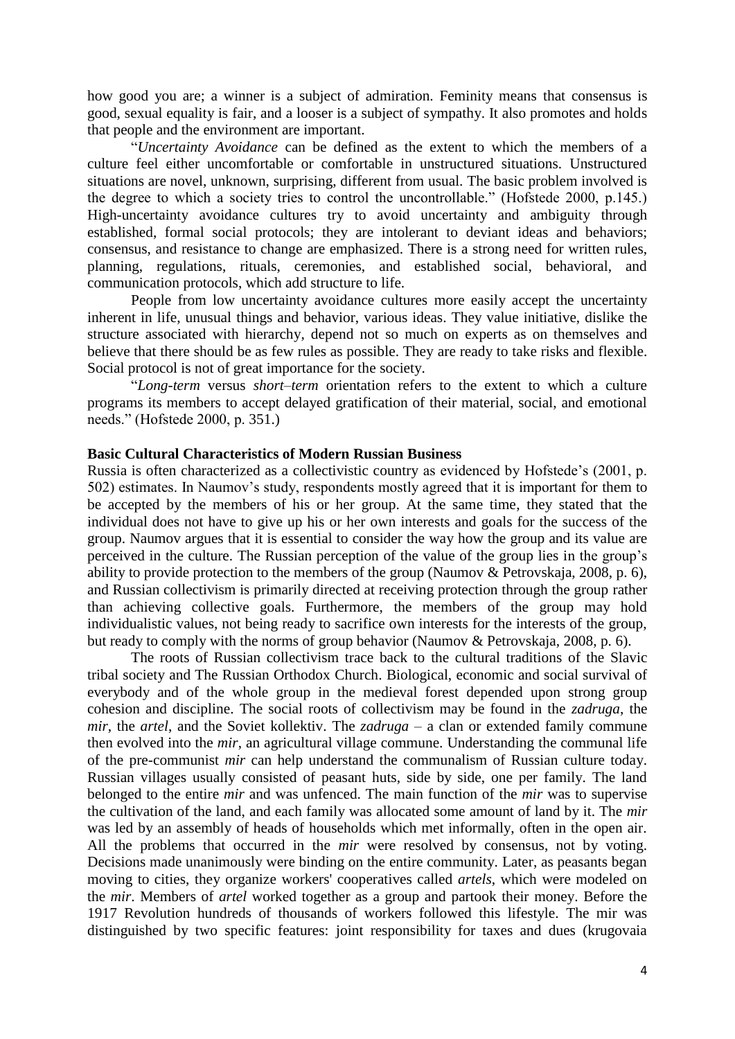how good you are; a winner is a subject of admiration. Feminity means that consensus is good, sexual equality is fair, and a looser is a subject of sympathy. It also promotes and holds that people and the environment are important.

"*Uncertainty Avoidance* can be defined as the extent to which the members of a culture feel either uncomfortable or comfortable in unstructured situations. Unstructured situations are novel, unknown, surprising, different from usual. The basic problem involved is the degree to which a society tries to control the uncontrollable." (Hofstede 2000, p.145.) High-uncertainty avoidance cultures try to avoid uncertainty and ambiguity through established, formal social protocols; they are intolerant to deviant ideas and behaviors; consensus, and resistance to change are emphasized. There is a strong need for written rules, planning, regulations, rituals, ceremonies, and established social, behavioral, and communication protocols, which add structure to life.

People from low uncertainty avoidance cultures more easily accept the uncertainty inherent in life, unusual things and behavior, various ideas. They value initiative, dislike the structure associated with hierarchy, depend not so much on experts as on themselves and believe that there should be as few rules as possible. They are ready to take risks and flexible. Social protocol is not of great importance for the society.

"*Long-term* versus *short–term* orientation refers to the extent to which a culture programs its members to accept delayed gratification of their material, social, and emotional needs." (Hofstede 2000, p. 351.)

## **Basic Cultural Characteristics of Modern Russian Business**

Russia is often characterized as a collectivistic country as evidenced by Hofstede's (2001, p. 502) estimates. In Naumov's study, respondents mostly agreed that it is important for them to be accepted by the members of his or her group. At the same time, they stated that the individual does not have to give up his or her own interests and goals for the success of the group. Naumov argues that it is essential to consider the way how the group and its value are perceived in the culture. The Russian perception of the value of the group lies in the group's ability to provide protection to the members of the group (Naumov & Petrovskaja, 2008, p. 6), and Russian collectivism is primarily directed at receiving protection through the group rather than achieving collective goals. Furthermore, the members of the group may hold individualistic values, not being ready to sacrifice own interests for the interests of the group, but ready to comply with the norms of group behavior (Naumov & Petrovskaja, 2008, p. 6).

The roots of Russian collectivism trace back to the cultural traditions of the Slavic tribal society and The Russian Orthodox Church. Biological, economic and social survival of everybody and of the whole group in the medieval forest depended upon strong group cohesion and discipline. The social roots of collectivism may be found in the *zadruga*, the *mir*, the *artel*, and the Soviet kollektiv. The *zadruga* – a clan or extended family commune then evolved into the *mir*, an agricultural village commune. Understanding the communal life of the pre-communist *mir* can help understand the communalism of Russian culture today. Russian villages usually consisted of peasant huts, side by side, one per family. The land belonged to the entire *mir* and was unfenced. The main function of the *mir* was to supervise the cultivation of the land, and each family was allocated some amount of land by it. The *mir* was led by an assembly of heads of households which met informally, often in the open air. All the problems that occurred in the *mir* were resolved by consensus, not by voting. Decisions made unanimously were binding on the entire community. Later, as peasants began moving to cities, they organize workers' cooperatives called *artels*, which were modeled on the *mir*. Members of *artel* worked together as a group and partook their money. Before the 1917 Revolution hundreds of thousands of workers followed this lifestyle. The mir was distinguished by two specific features: joint responsibility for taxes and dues (krugovaia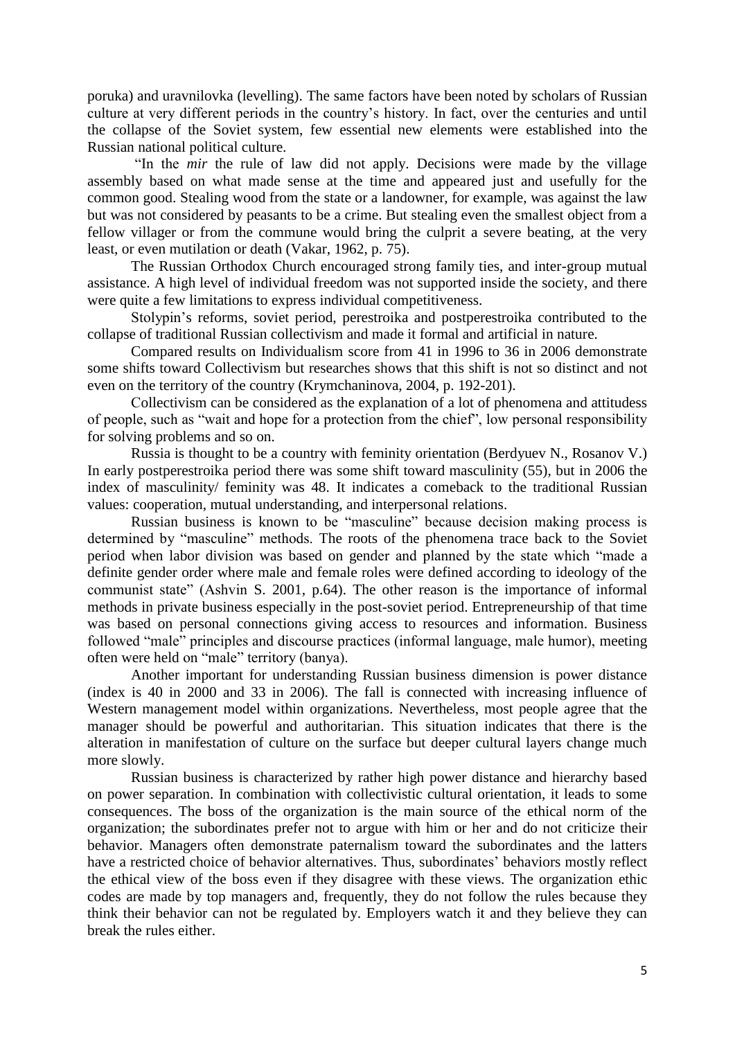poruka) and uravnilovka (levelling). The same factors have been noted by scholars of Russian culture at very different periods in the country's history. In fact, over the centuries and until the collapse of the Soviet system, few essential new elements were established into the Russian national political culture.

"In the *mir* the rule of law did not apply. Decisions were made by the village assembly based on what made sense at the time and appeared just and usefully for the common good. Stealing wood from the state or a landowner, for example, was against the law but was not considered by peasants to be a crime. But stealing even the smallest object from a fellow villager or from the commune would bring the culprit a severe beating, at the very least, or even mutilation or death (Vakar, 1962, p. 75).

The Russian Orthodox Church encouraged strong family ties, and inter-group mutual assistance. A high level of individual freedom was not supported inside the society, and there were quite a few limitations to express individual competitiveness.

Stolypin's reforms, soviet period, perestroika and postperestroika contributed to the collapse of traditional Russian collectivism and made it formal and artificial in nature.

Compared results on Individualism score from 41 in 1996 to 36 in 2006 demonstrate some shifts toward Collectivism but researches shows that this shift is not so distinct and not even on the territory of the country (Krymchaninova, 2004, p. 192-201).

Сollectivism can be considered as the explanation of a lot of phenomena and attitudess of people, such as "wait and hope for a protection from the chief", low personal responsibility for solving problems and so on.

Russia is thought to be a country with feminity orientation (Berdyuev N., Rosanov V.) In early postperestroika period there was some shift toward masculinity (55), but in 2006 the index of masculinity/ feminity was 48. It indicates a comeback to the traditional Russian values: cooperation, mutual understanding, and interpersonal relations.

Russian business is known to be "masculine" because decision making process is determined by "masculine" methods. The roots of the phenomena trace back to the Soviet period when labor division was based on gender and planned by the state which "made a definite gender order where male and female roles were defined according to ideology of the communist state" (Ashvin S. 2001, p.64). The other reason is the importance of informal methods in private business especially in the post-soviet period. Entrepreneurship of that time was based on personal connections giving access to resources and information. Business followed "male" principles and discourse practices (informal language, male humor), meeting often were held on "male" territory (banya).

Another important for understanding Russian business dimension is power distance (index is 40 in 2000 and 33 in 2006). The fall is connected with increasing influence of Western management model within organizations. Nevertheless, most people agree that the manager should be powerful and authoritarian. This situation indicates that there is the alteration in manifestation of culture on the surface but deeper cultural layers change much more slowly.

Russian business is characterized by rather high power distance and hierarchy based on power separation. In combination with collectivistic cultural orientation, it leads to some consequences. The boss of the organization is the main source of the ethical norm of the organization; the subordinates prefer not to argue with him or her and do not criticize their behavior. Managers often demonstrate paternalism toward the subordinates and the latters have a restricted choice of behavior alternatives. Thus, subordinates' behaviors mostly reflect the ethical view of the boss even if they disagree with these views. The organization ethic codes are made by top managers and, frequently, they do not follow the rules because they think their behavior can not be regulated by. Employers watch it and they believe they can break the rules either.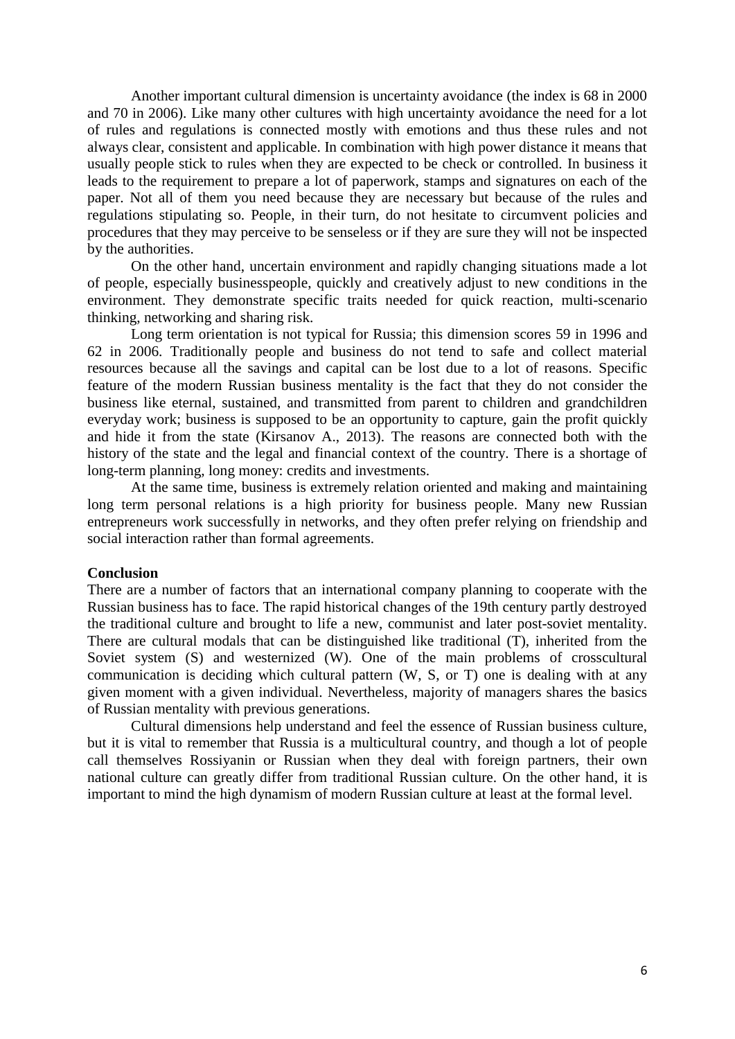Another important cultural dimension is uncertainty avoidance (the index is 68 in 2000 and 70 in 2006). Like many other cultures with high uncertainty avoidance the need for a lot of rules and regulations is connected mostly with emotions and thus these rules and not always clear, consistent and applicable. In combination with high power distance it means that usually people stick to rules when they are expected to be check or controlled. In business it leads to the requirement to prepare a lot of paperwork, stamps and signatures on each of the paper. Not all of them you need because they are necessary but because of the rules and regulations stipulating so. People, in their turn, do not hesitate to circumvent policies and procedures that they may perceive to be senseless or if they are sure they will not be inspected by the authorities.

On the other hand, uncertain environment and rapidly changing situations made a lot of people, especially businesspeople, quickly and creatively adjust to new conditions in the environment. They demonstrate specific traits needed for quick reaction, multi-scenario thinking, networking and sharing risk.

Long term orientation is not typical for Russia; this dimension scores 59 in 1996 and 62 in 2006. Traditionally people and business do not tend to safe and collect material resources because all the savings and capital can be lost due to a lot of reasons. Specific feature of the modern Russian business mentality is the fact that they do not consider the business like eternal, sustained, and transmitted from parent to children and grandchildren everyday work; business is supposed to be an opportunity to capture, gain the profit quickly and hide it from the state (Kirsanov A., 2013). The reasons are connected both with the history of the state and the legal and financial context of the country. There is a shortage of long-term planning, long money: credits and investments.

At the same time, business is extremely relation oriented and making and maintaining long term personal relations is a high priority for business people. Many new Russian entrepreneurs work successfully in networks, and they often prefer relying on friendship and social interaction rather than formal agreements.

#### **Conclusion**

There are a number of factors that an international company planning to cooperate with the Russian business has to face. The rapid historical changes of the 19th century partly destroyed the traditional culture and brought to life a new, communist and later post-soviet mentality. There are cultural modals that can be distinguished like traditional (T), inherited from the Soviet system (S) and westernized (W). One of the main problems of crosscultural communication is deciding which cultural pattern (W, S, or T) one is dealing with at any given moment with a given individual. Nevertheless, majority of managers shares the basics of Russian mentality with previous generations.

Cultural dimensions help understand and feel the essence of Russian business culture, but it is vital to remember that Russia is a multicultural country, and though a lot of people call themselves Rossiyanin or Russian when they deal with foreign partners, their own national culture can greatly differ from traditional Russian culture. On the other hand, it is important to mind the high dynamism of modern Russian culture at least at the formal level.